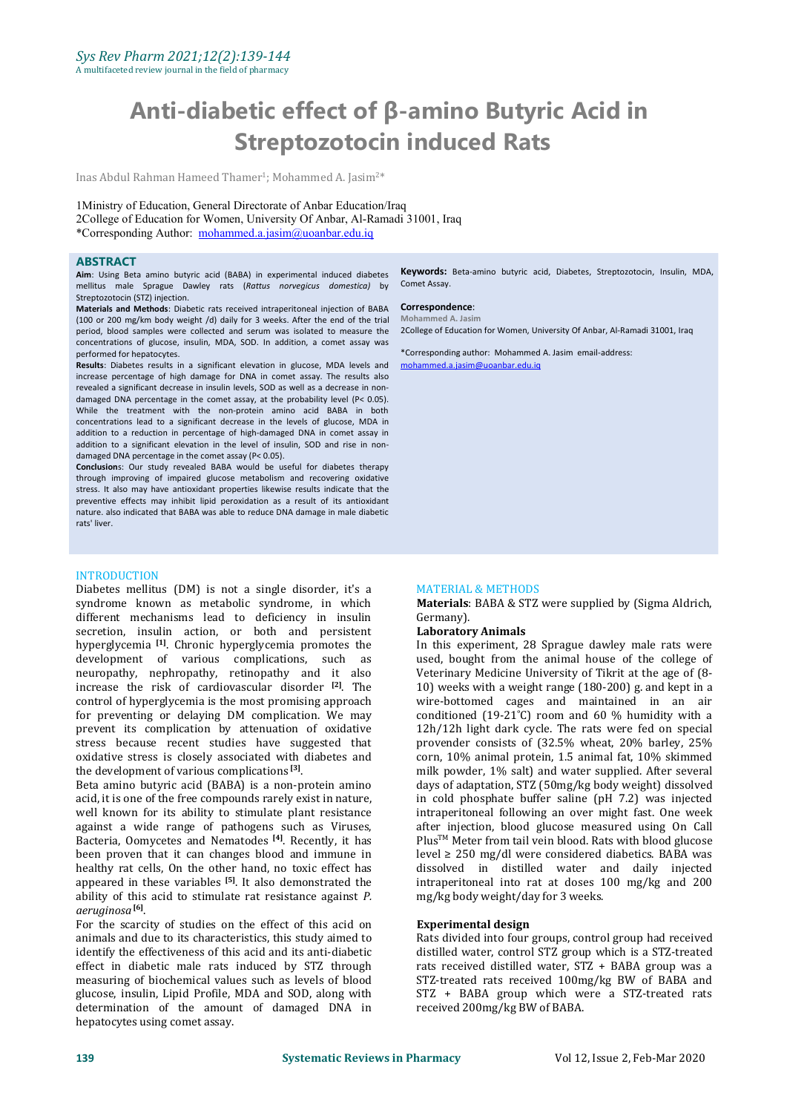# **Anti-diabetic effect of β-amino Butyric Acid in Streptozotocin induced Rats**

Inas Abdul Rahman Hameed Thamer 1 ; Mohammed A. Jasim<sup>2</sup>\*

1Ministry of Education, General Directorate of Anbar Education/Iraq 2College of Education for Women, University Of Anbar, Al-Ramadi 31001, Iraq \*Corresponding Author: [mohammed.a.jasim@uoanbar.edu.iq](mailto:mohammed.a.jasim@uoanbar.edu.iq)

#### **ABSTRACT**

**Aim**: Using Beta amino butyric acid (BABA) in experimental induced diabetes mellitus male Sprague Dawley rats (*Rattus norvegicus domestica)* by Streptozotocin (STZ) injection.

**Materials and Methods**: Diabetic rats received intraperitoneal injection of BABA (100 or 200 mg/km body weight /d) daily for 3 weeks. After the end of the trial period, blood samples were collected and serum was isolated to measure the concentrations of glucose, insulin, MDA, SOD. In addition, a comet assay was performed for hepatocytes.

Results: Diabetes results in a significant elevation in glucose, MDA levels and increase percentage of high damage for DNA in comet assay. The results also revealed a significant decrease in insulin levels. SOD as well as a decrease in nondamaged DNA percentage in the comet assay, at the probability level (P< 0.05). While the treatment with the non-protein amino acid BABA in both concentrations lead to a significant decrease in the levels of glucose, MDA in addition to a reduction in percentage of high-damaged DNA in comet assay in addition to a significant elevation in the level of insulin, SOD and rise in non-damaged DNA percentage in the comet assay (P<  $0.05$ ).

**Conclusion**s: Our study revealed BABA would be useful for diabetes therapy through improving of impaired glucose metabolism and recovering oxidative stress. It also may have antioxidant properties likewise results indicate that the preventive effects may inhibit lipid peroxidation as a result of its antioxidant nature. also indicated that BABA was able to reduce DNA damage in male diabetic rats' liver.

## **INTRODUCTION**

Diabetes mellitus (DM) is not a single disorder, it's a syndrome known as metabolic syndrome, in which **Materials**:<br>different mechanisms lead to deficiency in insulin (Germany). different mechanisms lead to deficiency in insulin secretion, insulin action, or both and persistent hyperglycemia **[1]** . Chronic hyperglycemia promotes the development of various complications, such as neuropathy, nephropathy, retinopathy and it also increase the risk of cardiovascular disorder **[2]** control of hyperglycemia is the most promising approach for preventing or delaying DM complication. We may prevent its complication by attenuation of oxidative stress because recent studies have suggested that oxidative stress is closely associated with diabetes and the development of various complications **[3]** .

Beta amino butyric acid (BABA) is a non-protein amino acid, it is one of the free compounds rarely exist in nature, well known for its ability to stimulate plant resistance against a wide range of pathogens such as Viruses, Bacteria, Oomycetes and Nematodes <sup>[4]</sup>. Recently, it has Plus™ Me been proven that it can changes blood and immune in healthy rat cells. On the other hand, no toxic effect has appeared in these variables <sup>[5]</sup>. It also demonstrated the **intraperitone** ability of this acid to stimulate rat resistance against *P*. **[6]** .

For the scarcity of studies on the effect of this acid on **Experimental c** animals and due to its characteristics, this study aimed to identify the effectiveness of this acid and its anti-diabetic effect in diabetic male rats induced by STZ through measuring of biochemical values such as levels of blood glucose, insulin, Lipid Profile, MDA and SOD, along with determination of the amount of damaged DNA in hepatocytes using comet assay.

**Keywords:** Beta-amino butyric acid, Diabetes, Streptozotocin, Insulin, MDA, Comet Assay.

#### **Correspondence**: **Mohammed A. Jasim**

2College of Education for Women, University Of Anbar, Al-Ramadi 31001, Iraq

\*Corresponding author: Mohammed A. Jasim email-address: [mohammed.a.jasim@uoanbar.edu.iq](mailto:mohammed.a.jasim@uoanbar.edu.iq)

#### MATERIAL & METHODS

**Materials**: BABA & STZ were supplied by (Sigma Aldrich,

## **Laboratory Animals**

. The  $10$  weeks with a weight range (180-200) g. and kept in a In this experiment, 28 Sprague dawley male rats were used, bought from the animal house of the college of Veterinary Medicine University of Tikrit at the age of (8 wire-bottomed cages and maintained in an air conditioned (19-21˚C) room and 60 % humidity with a 12h/12h light dark cycle. The rats were fed on special provender consists of (32.5% wheat, 20% barley, 25% corn, 10% animal protein, 1.5 animal fat, 10% skimmed milk powder, 1% salt) and water supplied. After several days of adaptation, STZ (50mg/kg body weight) dissolved in cold phosphate buffer saline (pH 7.2) was injected intraperitoneal following an over might fast. One week after injection, blood glucose measured using On Call Plus TM Meter from tail vein blood. Rats with blood glucose level ≥ 250 mg/dl were considered diabetics. BABA was dissolved in distilled water and daily injected intraperitoneal into rat at doses 100 mg/kg and 200 mg/kg body weight/day for 3 weeks.

#### **Experimental design**

Rats divided into four groups, control group had received distilled water, control STZ group which is a STZ-treated rats received distilled water, STZ + BABA group was a STZ-treated rats received 100mg/kg BW of BABA and STZ + BABA group which were a STZ-treated rats received 200mg/kg BW of BABA.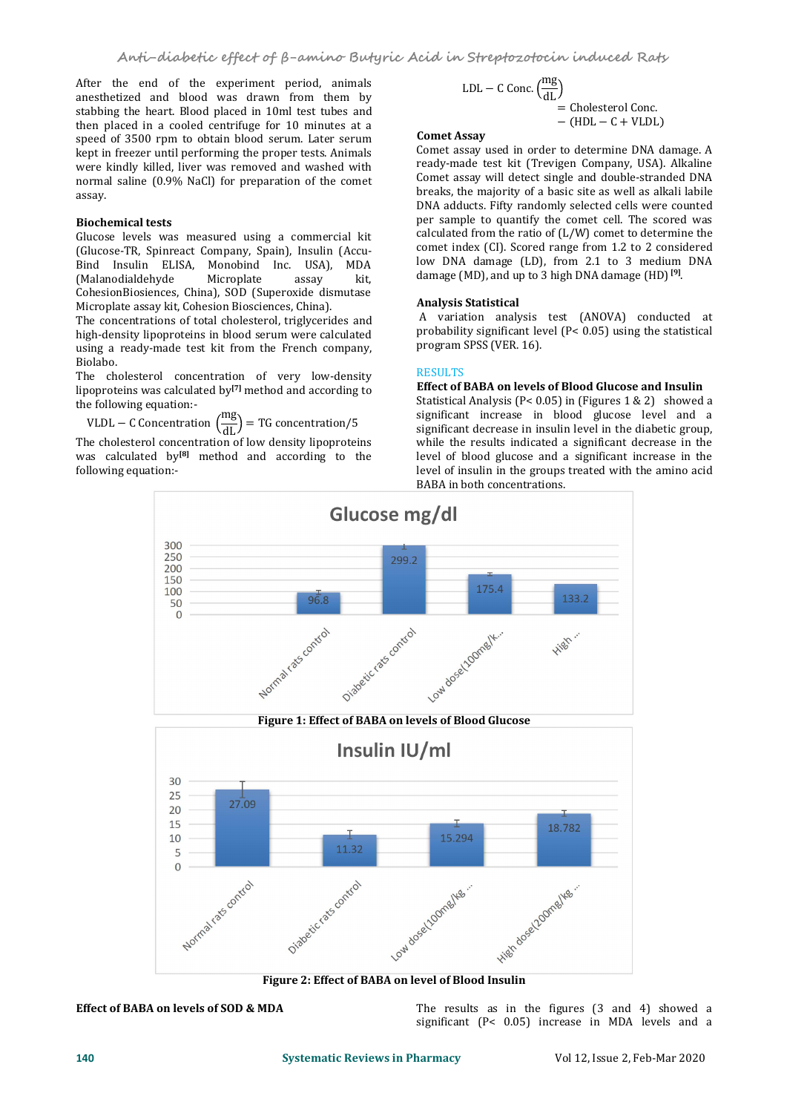After the end of the experiment period, animals anesthetized and blood was drawn from them by stabbing the heart. Blood placed in 10ml test tubes and then placed in a cooled centrifuge for 10 minutes at a speed of 3500 rpm to obtain blood serum. Later serum kept in freezer until performing the proper tests. Animals were kindly killed, liver was removed and washed with normal saline (0.9% NaCl) for preparation of the comet assay.

# **Biochemical tests**

Glucose levels was measured using a commercial kit (Glucose-TR, Spinreact Company, Spain), Insulin (Accu- Bind Insulin ELISA, Monobind Inc. USA), MDA (Malanodialdehyde CohesionBiosiences, China), SOD (Superoxide dismutase Microplate assay kit, Cohesion Biosciences, China).

The concentrations of total cholesterol, triglycerides and high-density lipoproteins in blood serum were calculated using a ready-made test kit from the French company, Biolabo.

The cholesterol concentration of very low-density RESULTS lipoproteins was calculated by<sup>[7]</sup> method and according to **Effect of BAB**A the following equation:-

VLDL – C Concentration  $\left(\frac{mg}{dL}\right)$  = TG concentration/5 significant de

The cholesterol concentration of low density lipoproteins was calculated by **[8]** method and according to the following equation:-

LDL – C Conc. 
$$
\left(\frac{mg}{dL}\right)
$$
  
= Cholesterol Conc.  
– (HDL – C + VLDL)

## **Comet Assay**

Comet assay used in order to determine DNA damage. A ready-made test kit (Trevigen Company, USA). Alkaline Comet assay will detect single and double-stranded DNA breaks, the majority of a basic site as well as alkali labile DNA adducts. Fifty randomly selected cells were counted per sample to quantify the comet cell. The scored was calculated from the ratio of (L/W) comet to determine the comet index (CI). Scored range from 1.2 to 2 considered low DNA damage (LD), from 2.1 to 3 medium DNA damage (MD), and up to 3 high DNA damage (HD) **[9]** .

# **Analysis Statistical**

A variation analysis test (ANOVA) conducted at probability significant level (P< 0.05) using the statistical program SPSS (VER. 16).

# RESULTS **Example**

# **Effect of BABA on levels of Blood Glucose and Insulin**

Statistical Analysis (P< 0.05) in (Figures 1 & 2) showed a significant increase in blood glucose level and a significant decrease in insulin level in the diabetic group, while the results indicated a significant decrease in the level of blood glucose and a significant increase in the level of insulin in the groups treated with the amino acid BABA in both concentrations.





**Effect of BABA on levels of SOD & MDA** The results as in the figures (3 and 4) showed a significant (P< 0.05) increase in MDA levels and a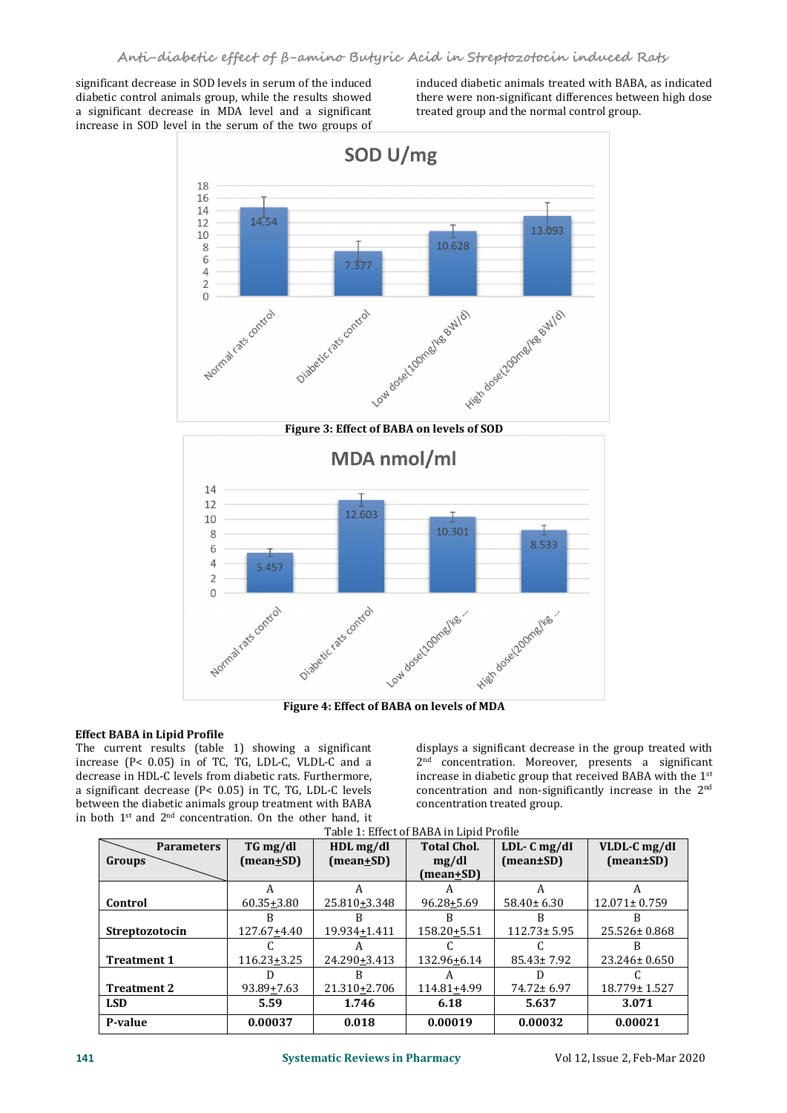significant decrease in SOD levels in serum of the induced diabetic control animals group, while the results showed a significant decrease in MDA level and a significant increase in SOD level in the serum of the two groups of induced diabetic animals treated with BABA, as indicated there were non-significant differences between high dose treated group and the normal control group.



# **Effect BABA in Lipid Profile**

The current results (table 1) showing a significant increase ( $P$ < 0.05) in of TC, TG, LDL-C, VLDL-C and a decrease in HDL-C levels from diabetic rats. Furthermore, a significant decrease  $(P< 0.05)$  in TC, TG, LDL-C levels between the diabetic animals group treatment with BABA in both  $1<sup>st</sup>$  and  $2<sup>nd</sup>$  concentration. On the other hand, it

displays a significant decrease in the group treated with 2 nd concentration. Moreover, presents a significant increase in diabetic group that received BABA with the  $1<sup>st</sup>$ concentration and non-significantly increase in the 2 nd concentration treated group.

| <b>Parameters</b>  | TG mg/dl       | $HDL$ mg/dl             | <b>Total Chol.</b> | $LDL-C mg/dI$                 | VLDL-C mg/dI       |
|--------------------|----------------|-------------------------|--------------------|-------------------------------|--------------------|
| <b>Groups</b>      | (mean±SD)      | $(\text{mean} \pm S D)$ | mg/dl              | $(\text{mean} \pm \text{SD})$ | (mean±SD)          |
|                    |                |                         | (mean+SD)          |                               |                    |
|                    | A              |                         |                    |                               |                    |
| Control            | $60.35 + 3.80$ | 25.810+3.348            | $96.28 + 5.69$     | $58.40 \pm 6.30$              | $12.071 \pm 0.759$ |
|                    |                |                         |                    |                               |                    |
| Streptozotocin     | 127.67+4.40    | 19.934+1.411            | 158.20+5.51        | $112.73 \pm 5.95$             | 25.526±0.868       |
|                    |                |                         |                    |                               |                    |
| <b>Treatment 1</b> | 116.23+3.25    | 24.290+3.413            | 132.96+6.14        | $85.43 \pm 7.92$              | 23.246± 0.650      |
|                    |                |                         |                    |                               |                    |
| <b>Treatment 2</b> | 93.89+7.63     | 21.310+2.706            | 114.81+4.99        | 74.72± 6.97                   | 18.779± 1.527      |
| <b>LSD</b>         | 5.59           | 1.746                   | 6.18               | 5.637                         | 3.071              |
| P-value            | 0.00037        | 0.018                   | 0.00019            | 0.00032                       | 0.00021            |

Table 1: Effect of BABA in Lipid Profile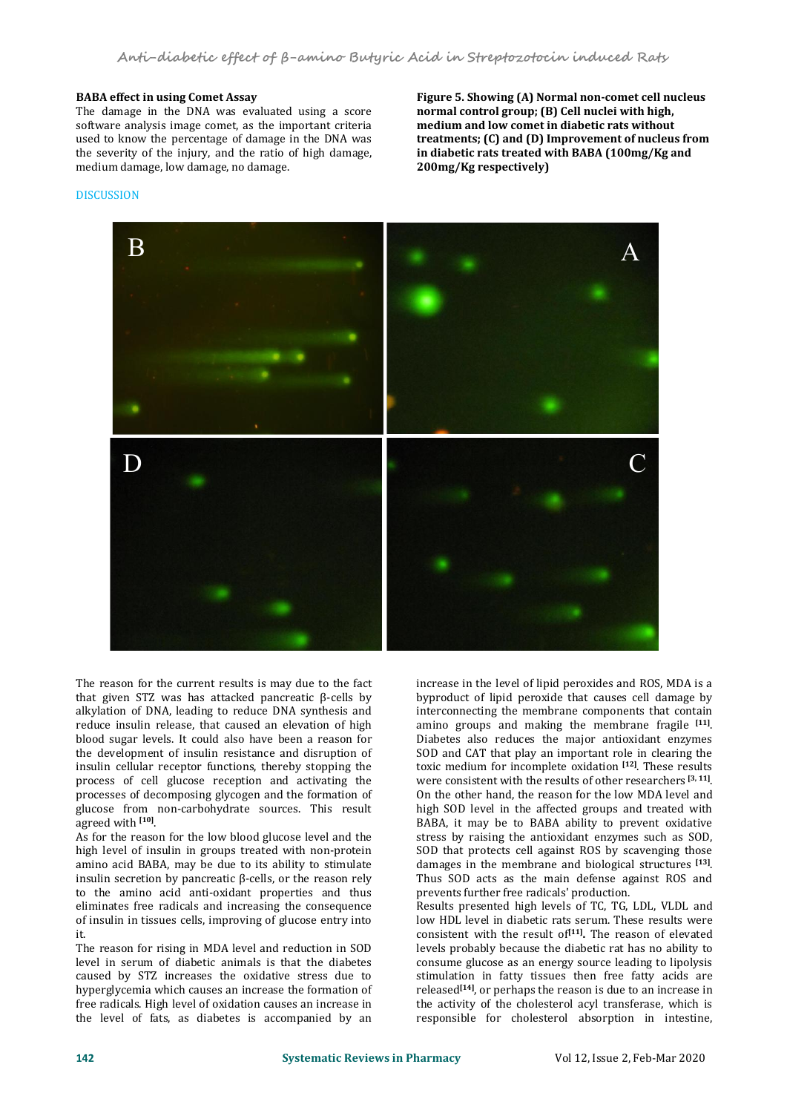# **BABA effect in using Comet Assay**

The damage in the DNA was evaluated using a score software analysis image comet, as the important criteria used to know the percentage of damage in the DNA was the severity of the injury, and the ratio of high damage, medium damage, low damage, no damage.

**Figure 5. Showing (A) Normal non-comet cell nucleus normal control group; (B) Cellnuclei with high, medium and low comet in diabetic rats without treatments; (C) and (D) Improvement of nucleus from in diabetic rats treated with BABA (100mg/Kg and 200mg/Kg respectively)**

## **DISCUSSION**



The reason for the current results is may due to the fact that given STZ was has attacked pancreatic β-cells by alkylation of DNA, leading to reduce DNA synthesis and reduce insulin release, that caused an elevation of high blood sugar levels. It could also have been a reason for the development of insulin resistance and disruption of insulin cellular receptor functions, thereby stopping the process of cell glucose reception and activating the processes of decomposing glycogen and the formation of glucose from non-carbohydrate sources. This result agreed with **[10]** .

As for the reason for the low blood glucose level and the high level of insulin in groups treated with non-protein amino acid BABA, may be due to its ability to stimulate insulin secretion by pancreatic β-cells, or the reason rely to the amino acid anti-oxidant properties and thus eliminates free radicals and increasing the consequence of insulin in tissues cells, improving of glucose entry into it.

The reason for rising in MDA level and reduction in SOD level in serum of diabetic animals is that the diabetes caused by STZ increases the oxidative stress due to hyperglycemia which causes an increase the formation of free radicals. High level of oxidation causes an increase in the level of fats, as diabetes is accompanied by an

increase in the level of lipid peroxides and ROS, MDA is a byproduct of lipid peroxide that causes cell damage by interconnecting the membrane components that contain amino groups and making the membrane fragile **[11]** .Diabetes also reduces the major antioxidant enzymes SOD and CAT that play an important role in clearing the toxic medium for incomplete oxidation **[12]** . These results were consistent with the results of other researchers **[3, 11]** . On the other hand, the reason for the low MDA level and high SOD level in the affected groups and treated with BABA, it may be to BABA ability to prevent oxidative stress by raising the antioxidant enzymes such as SOD, SOD that protects cell against ROS by scavenging those damages in the membrane and biological structures **[13]** . Thus SOD acts as the main defense against ROS and prevents further free radicals' production.

Results presented high levels of TC, TG, LDL, VLDL and low HDL level in diabetic rats serum. These results were consistent with the result of **[11] .** The reason of elevated levels probably because the diabetic rat has no ability to consume glucose as an energy source leading to lipolysis stimulation in fatty tissues then free fatty acids are released **[14]** , or perhaps the reason is due to an increase in the activity of the cholesterol acyl transferase, which is responsible for cholesterol absorption in intestine,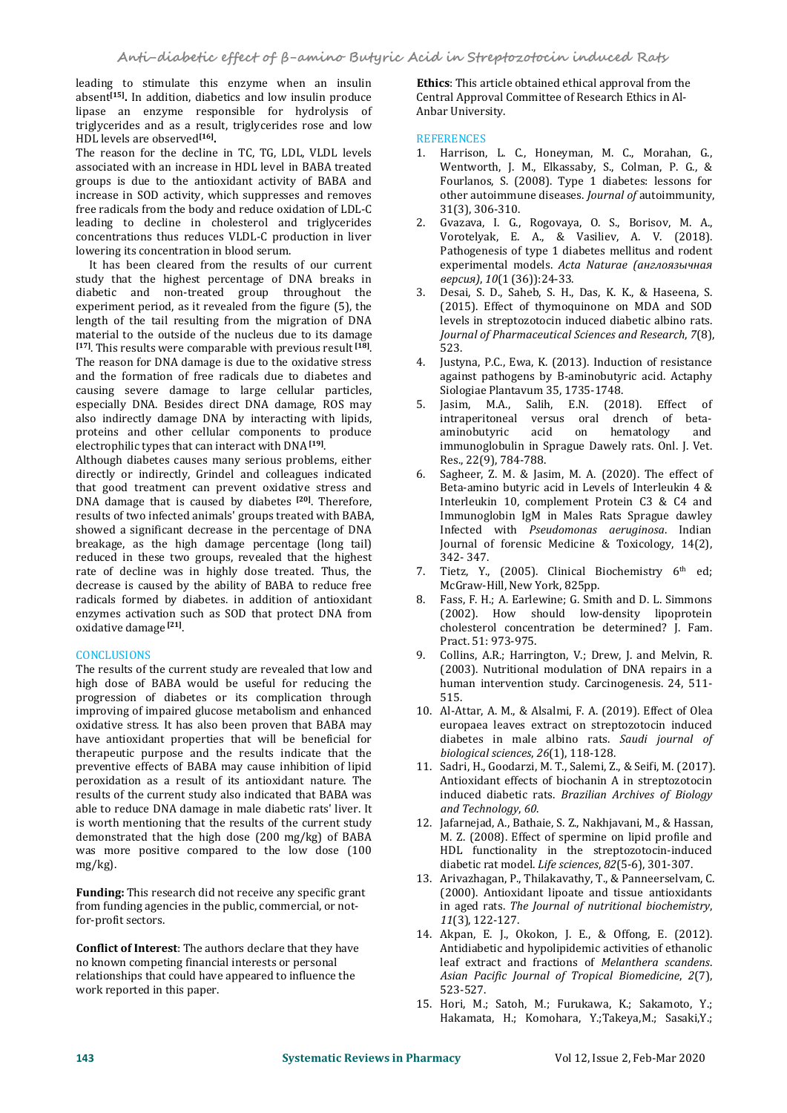leading to stimulate this enzyme when an insulin absent<sup>[15]</sup>. In addition, diabetics and low insulin produce **charal Appr** lipase an enzyme responsible for hydrolysis of triglycerides and as a result, triglycerides rose and low<br>HDL levels are observed<sup>[16]</sup>. REFERENCES HDL levels are observed **[16] .**

The reason for the decline in TC, TG, LDL, VLDL levels associated with an increase in HDL level in BABA treated groups is due to the antioxidant activity of BABA and increase in SOD activity, which suppresses and removes free radicals from the body and reduce oxidation of LDL-C<br>leading to decline in cholesterol and triglycerides 2. leading to decline in cholesterol and triglycerides concentrations thus reduces VLDL-C production in liver lowering its concentration in blood serum.

It has been cleared from the results of our current study that the highest percentage of DNA breaks in<br>diabetic and non-treated group throughout the 3 diabetic and non-treated group throughout the experiment period, as it revealed from the figure (5), the (2015). Effect of thymoquinone on MDA and SOD length of the tail resulting from the migration of DNA levels in streptozotocin induced diabetic albino rats. length of the tail resulting from the migration of DNA material to the outside of the nucleus due to its damage **[17]** . This results were comparable with previous result **[18]** . The reason for DNA damage is due to the oxidative stress and the formation of free radicals due to diabetes and causing severe damage to large cellular particles,<br>especially DNA Besides direct DNA damage ROS may 5. especially DNA. Besides direct DNA damage, ROS may also indirectly damage DNA by interacting with lipids, proteins and other cellular components to produce aminobutyric electrophilic types that can interact with DNA **[19]** .

Although diabetes causes many serious problems, either directly or indirectly, Grindel and colleagues indicated 6. that good treatment can prevent oxidative stress and DNA damage that is caused by diabetes **[20]** . Therefore, results of two infected animals' groups treated with BABA, showed a significant decrease in the percentage of DNA breakage, as the high damage percentage (long tail) reduced in these two groups, revealed that the highest rate of decline was in highly dose treated. Thus, the decrease is caused by the ability of BABA to reduce free radicals formed by diabetes. in addition of antioxidant enzymes activation such as SOD that protect DNA from oxidative damage **[21]** .

# **CONCLUSIONS**

The results of the current study are revealed that low and high dose of BABA would be useful for reducing the progression of diabetes or its complication through improving of impaired glucose metabolism and enhanced oxidative stress. It has also been proven that BABA may have antioxidant properties that will be beneficial for therapeutic purpose and the results indicate that the preventive effects of BABA may cause inhibition of lipid peroxidation as a result of its antioxidant nature. The results of the current study also indicated that BABA was induced diabetic rable to reduce DNA damage in male diabetic rats' liver. It and Technology, 60. able to reduce DNA damage in male diabetic rats' liver. It is worth mentioning that the results of the current study demonstrated that the high dose (200 mg/kg) of BABA was more positive compared to the low dose (100 mg/kg).

**Funding:** This research did not receive any specific grant from funding agencies in the public, commercial, or notfor-profit sectors.

no known competing financial interests or personal relationships that could have appeared to influence the work reported in this paper.

**Ethics**: This article obtained ethical approval from the Central Approval Committee of Research Ethics in Al- Anbar University.

# **REFERENCES**

- 1. Harrison, L. C., Honeyman, M. C., Morahan, G., Wentworth, J. M., Elkassaby, S., Colman, P. G., & Fourlanos, S. (2008). Type 1 diabetes: lessons for other autoimmune diseases. *Journal of* autoimmunity, 31(3), 306-310.
- 2. Gvazava, I. G., Rogovaya, O. S., Borisov, M. A., Vorotelyak, E. A., & Vasiliev, A. V. (2018). Pathogenesis of type 1 diabetes mellitus and rodent experimental models. *Acta Naturae (англоязычная версия)*, *10*(1 (36)):24-33.
- 3. Desai, S. D., Saheb, S. H., Das, K. K., & Haseena, S. (2015). Effect of thymoquinone on MDA and SOD levels in streptozotocin induced diabetic albino rats. *Journal of Pharmaceutical Sciences and Research*, *<sup>7</sup>*(8), 523.
- Justyna, P.C., Ewa, K. (2013). Induction of resistance against pathogens by B-aminobutyric acid. Actaphy
- Siologiae Plantavum 35, 1735-1748.<br>Jasim, M.A., Salih, E.N. (2018). Effect of Jasim, M.A., Salih, E.N. intraperitoneal versus oral drench of beta aminobutyric acid on hematology and immunoglobulin in Sprague Dawely rats. Onl. J. Vet. Res., 22(9), 784-788.
- Sagheer, Z. M. & Jasim, M. A.  $(2020)$ . The effect of Beta-amino butyric acid in Levels of Interleukin 4 & Interleukin 10, complement Protein C3 & C4 and Immunoglobin IgM in Males Rats Sprague dawley Infected with *Pseudomonas aeruginosa*. Indian Journal of forensic Medicine & Toxicology, 14(2), 342- 347.
- 7. Tietz, Y., (2005). Clinical Biochemistry 6<sup>th</sup> ed; McGraw-Hill, New York, 825pp.
- 8. Fass, F. H.; A. Earlewine; G.Smith and D. L. Simmons  $(2002)$ . How should low-density lipoprotein cholesterol concentration be determined? J. Fam. Pract. 51: 973-975.
- 9. Collins, A.R.; Harrington, V.; Drew, J. and Melvin, R. (2003). Nutritional modulation of DNA repairs in a human intervention study. Carcinogenesis. 24, 511- 515.
- 10. Al-Attar, A. M., & Alsalmi, F. A. (2019). Effect of Olea europaea leaves extract on streptozotocin induced diabetes in male albino rats. *Saudi journal of biological sciences*, *26*(1), 118-128.
- 11. Sadri, H., Goodarzi, M. T., Salemi, Z., & Seifi, M. (2017). Antioxidant effects of biochanin A in streptozotocin induced diabetic rats. *Brazilian Archives of Biology and Technology*, *<sup>60</sup>*.
- 12. Jafarnejad, A., Bathaie, S. Z., Nakhjavani, M., & Hassan, M. Z. (2008). Effect of spermine on lipid profile and HDL functionality in the streptozotocin-induced diabetic rat model. *Life sciences*, *82*(5-6), 301-307.
- 13. Arivazhagan, P., Thilakavathy, T., & Panneerselvam, C. (2000). Antioxidant lipoate and tissue antioxidants in aged rats. *The Journal of nutritional biochemistry*, *<sup>11</sup>*(3), 122-127.
- **Conflict of Interest**: The authors declare that they have *Antidiabetic and hypolipidemic activities of ethanolic*<br> **Conflict of Interests of personal** leaf extract and fractions of *Melanthera scandens*. 14. Akpan, E. J., Okokon, J. E., & Offong, E. (2012). Antidiabetic and hypolipidemic activities of ethanolic leaf extract and fractions of *Melanthera scandens*. *Asian Pacific Journal of Tropical Biomedicine*, *<sup>2</sup>*(7), 523-527.
	- 15. Hori, M.; Satoh, M.; Furukawa, K.; Sakamoto, Y.; Hakamata, H.; Komohara, Y.;Takeya,M.; Sasaki,Y.;